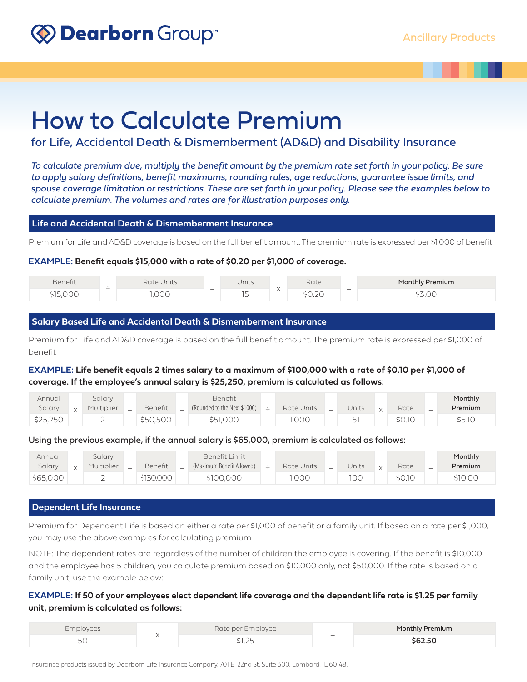## Dearborn Group



# How to Calculate Premium

for Life, Accidental Death & Dismemberment (AD&D) and Disability Insurance

*To calculate premium due, multiply the benefit amount by the premium rate set forth in your policy. Be sure to apply salary definitions, benefit maximums, rounding rules, age reductions, guarantee issue limits, and spouse coverage limitation or restrictions. These are set forth in your policy. Please see the examples below to calculate premium. The volumes and rates are for illustration purposes only.*

### **Life and Accidental Death & Dismemberment Insurance**

Premium for Life and AD&D coverage is based on the full benefit amount. The premium rate is expressed per \$1,000 of benefit

**EXAMPLE: Benefit equals \$15,000 with a rate of \$0.20 per \$1,000 of coverage.**

| Benefit | $\overline{\phantom{0}}$ | Units<br>Rate ' |                          | Units      | $\lambda$ | Rate                           | $\hspace{0.1mm}-\hspace{0.1mm}$ | <b>Monthly Premium</b> |
|---------|--------------------------|-----------------|--------------------------|------------|-----------|--------------------------------|---------------------------------|------------------------|
|         |                          | へへへ             | $\overline{\phantom{0}}$ | $-$<br>. . | $\lambda$ | $\overline{\partial}$<br>YU.ZU | -                               | $\cap$<br>りし しし        |

## **Salary Based Life and Accidental Death & Dismemberment Insurance**

Premium for Life and AD&D coverage is based on the full benefit amount. The premium rate is expressed per \$1,000 of benefit

## **EXAMPLE: Life benefit equals 2 times salary to a maximum of \$100,000 with a rate of \$0.10 per \$1,000 of coverage. If the employee's annual salary is \$25,250, premium is calculated as follows:**

| Annual   | salary     |     |          |     | Benefit                      |   |            |   |                                |        |                               | Monthly |
|----------|------------|-----|----------|-----|------------------------------|---|------------|---|--------------------------------|--------|-------------------------------|---------|
| Salary   | Multiplier | $=$ | Benefit  | $=$ | (Rounded to the Next \$1000) | ∸ | Rate Units | - | Units                          | Rate   | $\overline{\phantom{0}}$<br>- | Premium |
| \$25,250 |            |     | \$50,500 |     | \$51,000                     |   | ,000       |   | $\overline{\phantom{0}}$<br>Ъı | \$0.1C |                               | \$5.1C  |

## Using the previous example, if the annual salary is \$65,000, premium is calculated as follows:

| Annual<br>Salary | Salary<br>Multiplier | $=$ | Benefit   | $\sim$<br>- | Benefit Limit<br>(Maximum Benefit Allowed) | – | Rate Units | Ξ | Jnits | $\mathsf{v}$ | Rate   | $\sim$<br>–<br>- | Monthly<br>Premium |
|------------------|----------------------|-----|-----------|-------------|--------------------------------------------|---|------------|---|-------|--------------|--------|------------------|--------------------|
| \$65,000         |                      |     | \$130,000 |             | \$100,000                                  |   | ,000       |   | 100   |              | \$0.1C |                  | \$10.00            |

## **Dependent Life Insurance**

Premium for Dependent Life is based on either a rate per \$1,000 of benefit or a family unit. If based on a rate per \$1,000, you may use the above examples for calculating premium

NOTE: The dependent rates are regardless of the number of children the employee is covering. If the benefit is \$10,000 and the employee has 5 children, you calculate premium based on \$10,000 only, not \$50,000. If the rate is based on a family unit, use the example below:

## **EXAMPLE: If 50 of your employees elect dependent life coverage and the dependent life rate is \$1.25 per family unit, premium is calculated as follows:**

| <b>Employees</b>    | Rate per Employee | $\hspace{0.1mm}-\hspace{0.1mm}$ | Monthly Premium |
|---------------------|-------------------|---------------------------------|-----------------|
| $\sim$ $\sim$<br>ЭU | $\sim$ $-$<br>マーム | $\overline{\phantom{0}}$        | \$62.50         |

Insurance products issued by Dearborn Life Insurance Company, 701 E. 22nd St. Suite 300, Lombard, IL 60148.